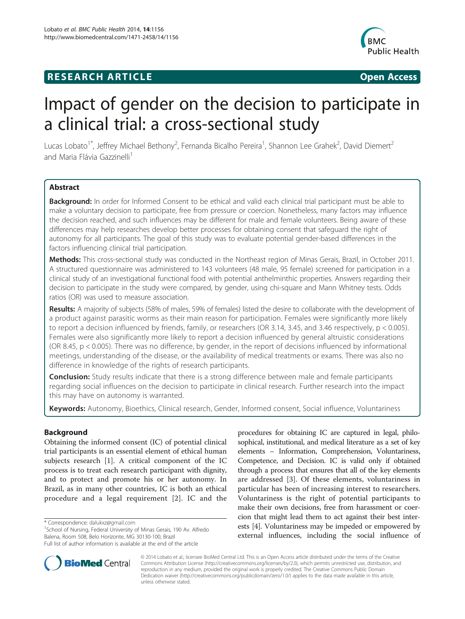# R E S EAR CH A R TIC L E Open Access



# Impact of gender on the decision to participate in a clinical trial: a cross-sectional study

Lucas Lobato<sup>1\*</sup>, Jeffrey Michael Bethony<sup>2</sup>, Fernanda Bicalho Pereira<sup>1</sup>, Shannon Lee Grahek<sup>2</sup>, David Diemert<sup>2</sup> and Maria Flávia Gazzinelli<sup>1</sup>

# **Abstract**

Background: In order for Informed Consent to be ethical and valid each clinical trial participant must be able to make a voluntary decision to participate, free from pressure or coercion. Nonetheless, many factors may influence the decision reached, and such influences may be different for male and female volunteers. Being aware of these differences may help researches develop better processes for obtaining consent that safeguard the right of autonomy for all participants. The goal of this study was to evaluate potential gender-based differences in the factors influencing clinical trial participation.

Methods: This cross-sectional study was conducted in the Northeast region of Minas Gerais, Brazil, in October 2011. A structured questionnaire was administered to 143 volunteers (48 male, 95 female) screened for participation in a clinical study of an investigational functional food with potential anthelminthic properties. Answers regarding their decision to participate in the study were compared, by gender, using chi-square and Mann Whitney tests. Odds ratios (OR) was used to measure association.

Results: A majority of subjects (58% of males, 59% of females) listed the desire to collaborate with the development of a product against parasitic worms as their main reason for participation. Females were significantly more likely to report a decision influenced by friends, family, or researchers (OR 3.14, 3.45, and 3.46 respectively, p < 0.005). Females were also significantly more likely to report a decision influenced by general altruistic considerations (OR 8.45, p < 0.005). There was no difference, by gender, in the report of decisions influenced by informational meetings, understanding of the disease, or the availability of medical treatments or exams. There was also no difference in knowledge of the rights of research participants.

**Conclusion:** Study results indicate that there is a strong difference between male and female participants regarding social influences on the decision to participate in clinical research. Further research into the impact this may have on autonomy is warranted.

Keywords: Autonomy, Bioethics, Clinical research, Gender, Informed consent, Social influence, Voluntariness

# Background

Obtaining the informed consent (IC) of potential clinical trial participants is an essential element of ethical human subjects research [\[1\]](#page-7-0). A critical component of the IC process is to treat each research participant with dignity, and to protect and promote his or her autonomy. In Brazil, as in many other countries, IC is both an ethical procedure and a legal requirement [[2\]](#page-7-0). IC and the

\* Correspondence: [dalukxz@gmail.com](mailto:dalukxz@gmail.com) <sup>1</sup>

procedures for obtaining IC are captured in legal, philosophical, institutional, and medical literature as a set of key elements – Information, Comprehension, Voluntariness, Competence, and Decision. IC is valid only if obtained through a process that ensures that all of the key elements are addressed [[3\]](#page-7-0). Of these elements, voluntariness in particular has been of increasing interest to researchers. Voluntariness is the right of potential participants to make their own decisions, free from harassment or coercion that might lead them to act against their best interests [[4\]](#page-7-0). Voluntariness may be impeded or empowered by external influences, including the social influence of



© 2014 Lobato et al.; licensee BioMed Central Ltd. This is an Open Access article distributed under the terms of the Creative Commons Attribution License [\(http://creativecommons.org/licenses/by/2.0\)](http://creativecommons.org/licenses/by/2.0), which permits unrestricted use, distribution, and reproduction in any medium, provided the original work is properly credited. The Creative Commons Public Domain Dedication waiver [\(http://creativecommons.org/publicdomain/zero/1.0/](http://creativecommons.org/publicdomain/zero/1.0/)) applies to the data made available in this article, unless otherwise stated.

<sup>&</sup>lt;sup>1</sup>School of Nursing, Federal University of Minas Gerais, 190 Av. Alfredo Balena, Room 508, Belo Horizonte, MG 30130-100, Brazil

Full list of author information is available at the end of the article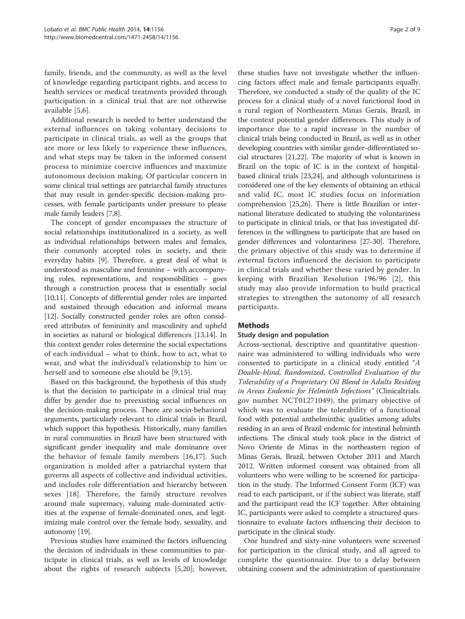family, friends, and the community, as well as the level of knowledge regarding participant rights, and access to health services or medical treatments provided through participation in a clinical trial that are not otherwise available [\[5,6](#page-7-0)].

Additional research is needed to better understand the external influences on taking voluntary decisions to participate in clinical trials, as well as the groups that are more or less likely to experience these influences, and what steps may be taken in the informed consent process to minimize coercive influences and maximize autonomous decision making. Of particular concern in some clinical trial settings are patriarchal family structures that may result in gender-specific decision-making processes, with female participants under pressure to please male family leaders [\[7,8\]](#page-7-0).

The concept of gender encompasses the structure of social relationships institutionalized in a society, as well as individual relationships between males and females, their commonly accepted roles in society, and their everyday habits [\[9](#page-7-0)]. Therefore, a great deal of what is understood as masculine and feminine – with accompanying roles, representations, and responsibilities – goes through a construction process that is essentially social [[10,11](#page-7-0)]. Concepts of differential gender roles are imparted and sustained through education and informal means [[12](#page-7-0)]. Socially constructed gender roles are often considered attributes of femininity and masculinity and upheld in societies as natural or biological differences [[13,14](#page-7-0)]. In this context gender roles determine the social expectations of each individual – what to think, how to act, what to wear, and what the individual's relationship to him or herself and to someone else should be [[9](#page-7-0),[15\]](#page-7-0).

Based on this background, the hypothesis of this study is that the decision to participate in a clinical trial may differ by gender due to preexisting social influences on the decision-making process. There are socio-behavioral arguments, particularly relevant to clinical trials in Brazil, which support this hypothesis. Historically, many families in rural communities in Brazil have been structured with significant gender inequality and male dominance over the behavior of female family members [[16,17\]](#page-7-0). Such organization is molded after a patriarchal system that governs all aspects of collective and individual activities, and includes role differentiation and hierarchy between sexes [\[18](#page-7-0)]. Therefore, the family structure revolves around male supremacy, valuing male-dominated activities at the expense of female-dominated ones, and legitimizing male control over the female body, sexuality, and autonomy [[19](#page-7-0)].

Previous studies have examined the factors influencing the decision of individuals in these communities to participate in clinical trials, as well as levels of knowledge about the rights of research subjects [\[5,20\]](#page-7-0); however,

these studies have not investigate whether the influencing factors affect male and female participants equally. Therefore, we conducted a study of the quality of the IC process for a clinical study of a novel functional food in a rural region of Northeastern Minas Gerais, Brazil, in the context potential gender differences. This study is of importance due to a rapid increase in the number of clinical trials being conducted in Brazil, as well as in other developing countries with similar gender-differentiated social structures [[21,22\]](#page-7-0). The majority of what is known in Brazil on the topic of IC is in the context of hospitalbased clinical trials [[23,24](#page-7-0)], and although voluntariness is considered one of the key elements of obtaining an ethical and valid IC, most IC studies focus on information comprehension [[25,26](#page-7-0)]. There is little Brazilian or international literature dedicated to studying the voluntariness to participate in clinical trials, or that has investigated differences in the willingness to participate that are based on gender differences and voluntariness [\[27](#page-7-0)-[30](#page-7-0)]. Therefore, the primary objective of this study was to determine if external factors influenced the decision to participate in clinical trials and whether these varied by gender. In keeping with Brazilian Resolution 196/96 [[2\]](#page-7-0), this study may also provide information to build practical strategies to strengthen the autonomy of all research participants.

# Methods

### Study design and population

Across-sectional, descriptive and quantitative questionnaire was administered to willing individuals who were consented to participate in a clinical study entitled "A Double-blind, Randomized, Controlled Evaluation of the Tolerability of a Proprietary Oil Blend in Adults Residing in Areas Endemic for Helminth Infections" (Clinicaltrials. gov number NCT01271049), the primary objective of which was to evaluate the tolerability of a functional food with potential anthelminthic qualities among adults residing in an area of Brazil endemic for intestinal helminth infections. The clinical study took place in the district of Novo Oriente de Minas in the northeastern region of Minas Gerais, Brazil, between October 2011 and March 2012. Written informed consent was obtained from all volunteers who were willing to be screened for participation in the study. The Informed Consent Form (ICF) was read to each participant, or if the subject was literate, staff and the participant read the ICF together. After obtaining IC, participants were asked to complete a structured questionnaire to evaluate factors influencing their decision to participate in the clinical study.

One hundred and sixty-nine volunteers were screened for participation in the clinical study, and all agreed to complete the questionnaire. Due to a delay between obtaining consent and the administration of questionnaire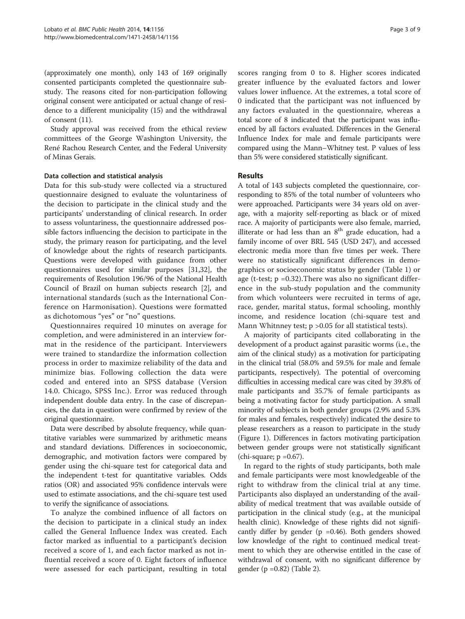(approximately one month), only 143 of 169 originally consented participants completed the questionnaire substudy. The reasons cited for non-participation following original consent were anticipated or actual change of residence to a different municipality (15) and the withdrawal of consent (11).

Study approval was received from the ethical review committees of the George Washington University, the René Rachou Research Center, and the Federal University of Minas Gerais.

# Data collection and statistical analysis

Data for this sub-study were collected via a structured questionnaire designed to evaluate the voluntariness of the decision to participate in the clinical study and the participants' understanding of clinical research. In order to assess voluntariness, the questionnaire addressed possible factors influencing the decision to participate in the study, the primary reason for participating, and the level of knowledge about the rights of research participants. Questions were developed with guidance from other questionnaires used for similar purposes [\[31,32](#page-7-0)], the requirements of Resolution 196/96 of the National Health Council of Brazil on human subjects research [[2\]](#page-7-0), and international standards (such as the International Conference on Harmonisation). Questions were formatted as dichotomous "yes" or "no" questions.

Questionnaires required 10 minutes on average for completion, and were administered in an interview format in the residence of the participant. Interviewers were trained to standardize the information collection process in order to maximize reliability of the data and minimize bias. Following collection the data were coded and entered into an SPSS database (Version 14.0. Chicago, SPSS Inc.). Error was reduced through independent double data entry. In the case of discrepancies, the data in question were confirmed by review of the original questionnaire.

Data were described by absolute frequency, while quantitative variables were summarized by arithmetic means and standard deviations. Differences in socioeconomic, demographic, and motivation factors were compared by gender using the chi-square test for categorical data and the independent t-test for quantitative variables. Odds ratios (OR) and associated 95% confidence intervals were used to estimate associations, and the chi-square test used to verify the significance of associations.

To analyze the combined influence of all factors on the decision to participate in a clinical study an index called the General Influence Index was created. Each factor marked as influential to a participant's decision received a score of 1, and each factor marked as not influential received a score of 0. Eight factors of influence were assessed for each participant, resulting in total scores ranging from 0 to 8. Higher scores indicated greater influence by the evaluated factors and lower values lower influence. At the extremes, a total score of 0 indicated that the participant was not influenced by any factors evaluated in the questionnaire, whereas a total score of 8 indicated that the participant was influenced by all factors evaluated. Differences in the General Influence Index for male and female participants were compared using the Mann–Whitney test. P values of less than 5% were considered statistically significant.

# Results

A total of 143 subjects completed the questionnaire, corresponding to 85% of the total number of volunteers who were approached. Participants were 34 years old on average, with a majority self-reporting as black or of mixed race. A majority of participants were also female, married, illiterate or had less than an  $8<sup>th</sup>$  grade education, had a family income of over BRL 545 (USD 247), and accessed electronic media more than five times per week. There were no statistically significant differences in demographics or socioeconomic status by gender (Table [1\)](#page-3-0) or age (t-test;  $p = 0.32$ ). There was also no significant difference in the sub-study population and the community from which volunteers were recruited in terms of age, race, gender, marital status, formal schooling, monthly income, and residence location (chi-square test and Mann Whitnney test;  $p > 0.05$  for all statistical tests).

A majority of participants cited collaborating in the development of a product against parasitic worms (i.e., the aim of the clinical study) as a motivation for participating in the clinical trial (58.0% and 59.5% for male and female participants, respectively). The potential of overcoming difficulties in accessing medical care was cited by 39.8% of male participants and 35.7% of female participants as being a motivating factor for study participation. A small minority of subjects in both gender groups (2.9% and 5.3% for males and females, respectively) indicated the desire to please researchers as a reason to participate in the study (Figure [1\)](#page-3-0). Differences in factors motivating participation between gender groups were not statistically significant  $(chi-square; p = 0.67)$ .

In regard to the rights of study participants, both male and female participants were most knowledgeable of the right to withdraw from the clinical trial at any time. Participants also displayed an understanding of the availability of medical treatment that was available outside of participation in the clinical study (e.g., at the municipal health clinic). Knowledge of these rights did not significantly differ by gender ( $p = 0.46$ ). Both genders showed low knowledge of the right to continued medical treatment to which they are otherwise entitled in the case of withdrawal of consent, with no significant difference by gender (p =0.82) (Table [2\)](#page-4-0).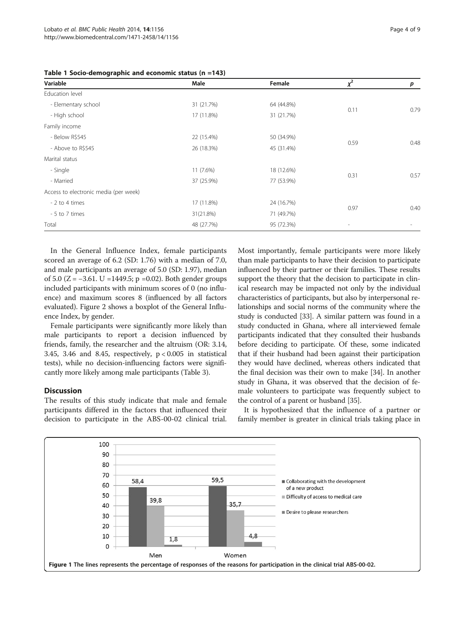<span id="page-3-0"></span>

| Variable                              | Male       | Female     | $x^2$ | р    |
|---------------------------------------|------------|------------|-------|------|
| Education level                       |            |            |       |      |
| - Elementary school                   | 31 (21.7%) | 64 (44.8%) | 0.11  | 0.79 |
| - High school                         | 17 (11.8%) | 31 (21.7%) |       |      |
| Family income                         |            |            |       |      |
| - Below R\$545                        | 22 (15.4%) | 50 (34.9%) |       | 0.48 |
| - Above to R\$545                     | 26 (18.3%) | 45 (31.4%) | 0.59  |      |
| Marital status                        |            |            |       |      |
| - Single                              | 11 (7.6%)  | 18 (12.6%) |       | 0.57 |
| - Married                             | 37 (25.9%) | 77 (53.9%) | 0.31  |      |
| Access to electronic media (per week) |            |            |       |      |
| - 2 to 4 times                        | 17 (11.8%) | 24 (16.7%) | 0.97  | 0.40 |
| - 5 to 7 times                        | 31(21.8%)  | 71 (49.7%) |       |      |
| Total                                 | 48 (27.7%) | 95 (72.3%) |       |      |

In the General Influence Index, female participants scored an average of 6.2 (SD: 1.76) with a median of 7.0, and male participants an average of 5.0 (SD: 1.97), median of 5.0 ( $Z = −3.61$ . U =1449.5; p =0.02). Both gender groups included participants with minimum scores of 0 (no influence) and maximum scores 8 (influenced by all factors evaluated). Figure [2](#page-4-0) shows a boxplot of the General Influence Index, by gender.

Female participants were significantly more likely than male participants to report a decision influenced by friends, family, the researcher and the altruism (OR: 3.14, 3.45, 3.46 and 8.45, respectively,  $p < 0.005$  in statistical tests), while no decision-influencing factors were significantly more likely among male participants (Table [3](#page-5-0)).

### **Discussion**

The results of this study indicate that male and female participants differed in the factors that influenced their decision to participate in the ABS-00-02 clinical trial. Most importantly, female participants were more likely than male participants to have their decision to participate influenced by their partner or their families. These results support the theory that the decision to participate in clinical research may be impacted not only by the individual characteristics of participants, but also by interpersonal relationships and social norms of the community where the study is conducted [\[33\]](#page-7-0). A similar pattern was found in a study conducted in Ghana, where all interviewed female participants indicated that they consulted their husbands before deciding to participate. Of these, some indicated that if their husband had been against their participation they would have declined, whereas others indicated that the final decision was their own to make [[34](#page-7-0)]. In another study in Ghana, it was observed that the decision of female volunteers to participate was frequently subject to the control of a parent or husband [\[35\]](#page-7-0).

It is hypothesized that the influence of a partner or family member is greater in clinical trials taking place in

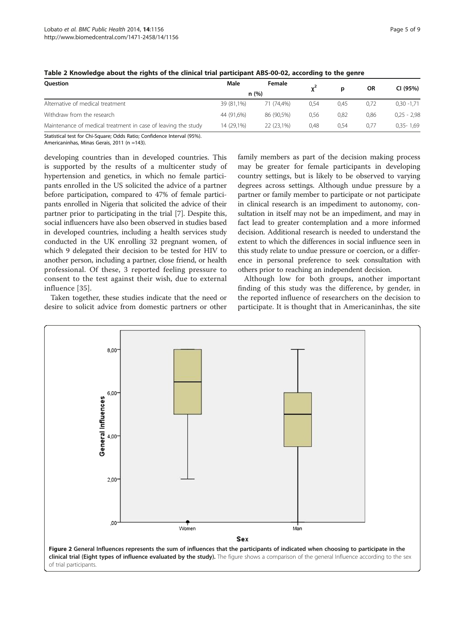| <b>Ouestion</b>                                               | Male       | Female     |      |      | <b>OR</b> | CI (95%)      |
|---------------------------------------------------------------|------------|------------|------|------|-----------|---------------|
|                                                               | n(%)       |            |      | D    |           |               |
| Alternative of medical treatment                              | 39 (81.1%) | 71 (74.4%) | 0.54 | 0.45 | 0.72      | $0,30 -1,71$  |
| Withdraw from the research                                    | 44 (91.6%) | 86 (90.5%) | 0.56 | 0.82 | 0.86      | $0.25 - 2.98$ |
| Maintenance of medical treatment in case of leaving the study | 14 (29.1%) | 22 (23,1%) | 0.48 | 0.54 | 0.77      | $0,35 - 1,69$ |

#### <span id="page-4-0"></span>Table 2 Knowledge about the rights of the clinical trial participant ABS-00-02, according to the genre

Statistical test for Chi-Square; Odds Ratio; Confidence Interval (95%).

Americaninhas, Minas Gerais, 2011 (n =143).

developing countries than in developed countries. This is supported by the results of a multicenter study of hypertension and genetics, in which no female participants enrolled in the US solicited the advice of a partner before participation, compared to 47% of female participants enrolled in Nigeria that solicited the advice of their partner prior to participating in the trial [\[7\]](#page-7-0). Despite this, social influencers have also been observed in studies based in developed countries, including a health services study conducted in the UK enrolling 32 pregnant women, of which 9 delegated their decision to be tested for HIV to another person, including a partner, close friend, or health professional. Of these, 3 reported feeling pressure to consent to the test against their wish, due to external influence [[35\]](#page-7-0).

Taken together, these studies indicate that the need or desire to solicit advice from domestic partners or other family members as part of the decision making process may be greater for female participants in developing country settings, but is likely to be observed to varying degrees across settings. Although undue pressure by a partner or family member to participate or not participate in clinical research is an impediment to autonomy, consultation in itself may not be an impediment, and may in fact lead to greater contemplation and a more informed decision. Additional research is needed to understand the extent to which the differences in social influence seen in this study relate to undue pressure or coercion, or a difference in personal preference to seek consultation with others prior to reaching an independent decision.

Although low for both groups, another important finding of this study was the difference, by gender, in the reported influence of researchers on the decision to participate. It is thought that in Americaninhas, the site

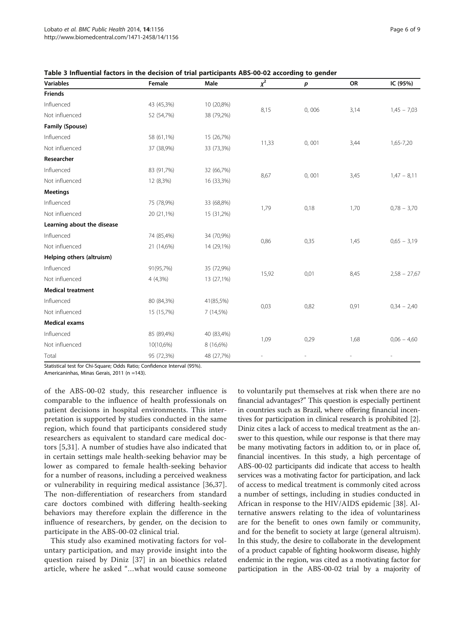| <b>Variables</b>           | Female     | Male       | $\chi^2$ | p     | OR   | IC (95%)       |
|----------------------------|------------|------------|----------|-------|------|----------------|
| <b>Friends</b>             |            |            |          |       |      |                |
| Influenced                 | 43 (45,3%) | 10 (20,8%) | 8,15     | 0,006 | 3,14 | $1,45 - 7,03$  |
| Not influenced             | 52 (54,7%) | 38 (79,2%) |          |       |      |                |
| <b>Family (Spouse)</b>     |            |            |          |       |      |                |
| Influenced                 | 58 (61,1%) | 15 (26,7%) | 11,33    | 0,001 | 3,44 | 1,65-7,20      |
| Not influenced             | 37 (38,9%) | 33 (73,3%) |          |       |      |                |
| Researcher                 |            |            |          |       |      |                |
| Influenced                 | 83 (91,7%) | 32 (66,7%) |          | 0,001 | 3,45 | $1,47 - 8,11$  |
| Not influenced             | 12 (8,3%)  | 16 (33,3%) | 8,67     |       |      |                |
| <b>Meetings</b>            |            |            |          |       |      |                |
| Influenced                 | 75 (78,9%) | 33 (68,8%) |          | 0,18  |      | $0,78 - 3,70$  |
| Not influenced             | 20 (21,1%) | 15 (31,2%) | 1,79     |       | 1,70 |                |
| Learning about the disease |            |            |          |       |      |                |
| Influenced                 | 74 (85,4%) | 34 (70,9%) |          | 0,35  | 1,45 | $0,65 - 3,19$  |
| Not influenced             | 21 (14,6%) | 14 (29,1%) | 0,86     |       |      |                |
| Helping others (altruism)  |            |            |          |       |      |                |
| Influenced                 | 91(95,7%)  | 35 (72,9%) |          | 0,01  | 8,45 | $2,58 - 27,67$ |
| Not influenced             | $4(4,3\%)$ | 13 (27,1%) | 15,92    |       |      |                |
| <b>Medical treatment</b>   |            |            |          |       |      |                |
| Influenced                 | 80 (84,3%) | 41(85,5%)  |          |       |      | $0,34 - 2,40$  |
| Not influenced             | 15 (15,7%) | 7(14,5%)   | 0,03     | 0,82  | 0,91 |                |
| <b>Medical exams</b>       |            |            |          |       |      |                |
| Influenced                 | 85 (89,4%) | 40 (83,4%) | 1,09     | 0,29  | 1,68 | $0,06 - 4,60$  |
| Not influenced             | 10(10,6%)  | 8 (16,6%)  |          |       |      |                |
| Total                      | 95 (72,3%) | 48 (27,7%) |          |       |      |                |

<span id="page-5-0"></span>Table 3 Influential factors in the decision of trial participants ABS-00-02 according to gender

Statistical test for Chi-Square; Odds Ratio; Confidence Interval (95%).

Americaninhas, Minas Gerais, 2011 (n =143).

of the ABS-00-02 study, this researcher influence is comparable to the influence of health professionals on patient decisions in hospital environments. This interpretation is supported by studies conducted in the same region, which found that participants considered study researchers as equivalent to standard care medical doctors [[5,31](#page-7-0)]. A number of studies have also indicated that in certain settings male health-seeking behavior may be lower as compared to female health-seeking behavior for a number of reasons, including a perceived weakness or vulnerability in requiring medical assistance [[36,37](#page-7-0)]. The non-differentiation of researchers from standard care doctors combined with differing health-seeking behaviors may therefore explain the difference in the influence of researchers, by gender, on the decision to participate in the ABS-00-02 clinical trial.

This study also examined motivating factors for voluntary participation, and may provide insight into the question raised by Diniz [[37](#page-7-0)] in an bioethics related article, where he asked "…what would cause someone

to voluntarily put themselves at risk when there are no financial advantages?" This question is especially pertinent in countries such as Brazil, where offering financial incentives for participation in clinical research is prohibited [[2](#page-7-0)]. Diniz cites a lack of access to medical treatment as the answer to this question, while our response is that there may be many motivating factors in addition to, or in place of, financial incentives. In this study, a high percentage of ABS-00-02 participants did indicate that access to health services was a motivating factor for participation, and lack of access to medical treatment is commonly cited across a number of settings, including in studies conducted in African in response to the HIV/AIDS epidemic [[38\]](#page-7-0). Alternative answers relating to the idea of voluntariness are for the benefit to ones own family or community, and for the benefit to society at large (general altruism). In this study, the desire to collaborate in the development of a product capable of fighting hookworm disease, highly endemic in the region, was cited as a motivating factor for participation in the ABS-00-02 trial by a majority of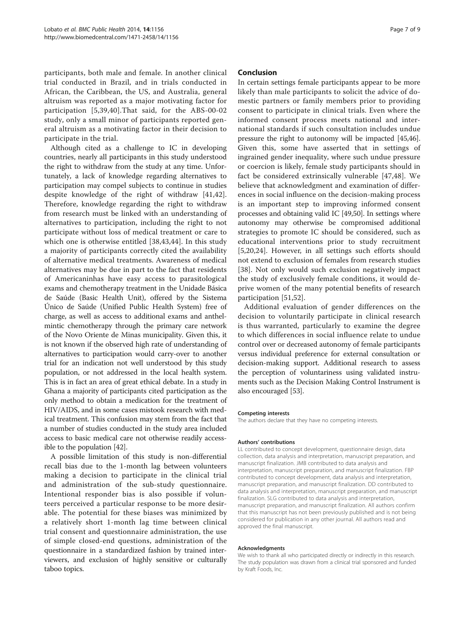participants, both male and female. In another clinical trial conducted in Brazil, and in trials conducted in African, the Caribbean, the US, and Australia, general altruism was reported as a major motivating factor for participation [[5](#page-7-0),[39,40](#page-7-0)].That said, for the ABS-00-02 study, only a small minor of participants reported general altruism as a motivating factor in their decision to participate in the trial.

Although cited as a challenge to IC in developing countries, nearly all participants in this study understood the right to withdraw from the study at any time. Unfortunately, a lack of knowledge regarding alternatives to participation may compel subjects to continue in studies despite knowledge of the right of withdraw [[41,42](#page-7-0)]. Therefore, knowledge regarding the right to withdraw from research must be linked with an understanding of alternatives to participation, including the right to not participate without loss of medical treatment or care to which one is otherwise entitled [[38](#page-7-0),[43,44\]](#page-7-0). In this study a majority of participants correctly cited the availability of alternative medical treatments. Awareness of medical alternatives may be due in part to the fact that residents of Americaninhas have easy access to parasitological exams and chemotherapy treatment in the Unidade Básica de Saúde (Basic Health Unit), offered by the Sistema Único de Saúde (Unified Public Health System) free of charge, as well as access to additional exams and anthelmintic chemotherapy through the primary care network of the Novo Oriente de Minas municipality. Given this, it is not known if the observed high rate of understanding of alternatives to participation would carry-over to another trial for an indication not well understood by this study population, or not addressed in the local health system. This is in fact an area of great ethical debate. In a study in Ghana a majority of participants cited participation as the only method to obtain a medication for the treatment of HIV/AIDS, and in some cases mistook research with medical treatment. This confusion may stem from the fact that a number of studies conducted in the study area included access to basic medical care not otherwise readily accessible to the population [[42](#page-7-0)].

A possible limitation of this study is non-differential recall bias due to the 1-month lag between volunteers making a decision to participate in the clinical trial and administration of the sub-study questionnaire. Intentional responder bias is also possible if volunteers perceived a particular response to be more desirable. The potential for these biases was minimized by a relatively short 1-month lag time between clinical trial consent and questionnaire administration, the use of simple closed-end questions, administration of the questionnaire in a standardized fashion by trained interviewers, and exclusion of highly sensitive or culturally taboo topics.

## Conclusion

In certain settings female participants appear to be more likely than male participants to solicit the advice of domestic partners or family members prior to providing consent to participate in clinical trials. Even where the informed consent process meets national and international standards if such consultation includes undue pressure the right to autonomy will be impacted [\[45,46](#page-7-0)]. Given this, some have asserted that in settings of ingrained gender inequality, where such undue pressure or coercion is likely, female study participants should in fact be considered extrinsically vulnerable [\[47](#page-7-0)[,48](#page-8-0)]. We believe that acknowledgment and examination of differences in social influence on the decision-making process is an important step to improving informed consent processes and obtaining valid IC [[49,50\]](#page-8-0). In settings where autonomy may otherwise be compromised additional strategies to promote IC should be considered, such as educational interventions prior to study recruitment [[5,20,24](#page-7-0)]. However, in all settings such efforts should not extend to exclusion of females from research studies [[38\]](#page-7-0). Not only would such exclusion negatively impact the study of exclusively female conditions, it would deprive women of the many potential benefits of research participation [[51,52\]](#page-8-0).

Additional evaluation of gender differences on the decision to voluntarily participate in clinical research is thus warranted, particularly to examine the degree to which differences in social influence relate to undue control over or decreased autonomy of female participants versus individual preference for external consultation or decision-making support. Additional research to assess the perception of voluntariness using validated instruments such as the Decision Making Control Instrument is also encouraged [[53](#page-8-0)].

#### Competing interests

The authors declare that they have no competing interests.

#### Authors' contributions

LL contributed to concept development, questionnaire design, data collection, data analysis and interpretation, manuscript preparation, and manuscript finalization. JMB contributed to data analysis and interpretation, manuscript preparation, and manuscript finalization. FBP contributed to concept development, data analysis and interpretation, manuscript preparation, and manuscript finalization. DD contributed to data analysis and interpretation, manuscript preparation, and manuscript finalization. SLG contributed to data analysis and interpretation, manuscript preparation, and manuscript finalization. All authors confirm that this manuscript has not been previously published and is not being considered for publication in any other journal. All authors read and approved the final manuscript.

#### Acknowledgments

We wish to thank all who participated directly or indirectly in this research. The study population was drawn from a clinical trial sponsored and funded by Kraft Foods, Inc.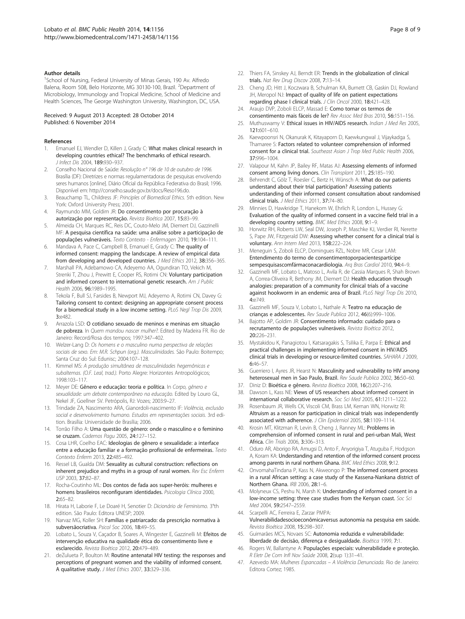#### <span id="page-7-0"></span>Author details

<sup>1</sup>School of Nursing, Federal University of Minas Gerais, 190 Av. Alfredo Balena, Room 508, Belo Horizonte, MG 30130-100, Brazil. <sup>2</sup>Department of Microbiology, Immunology and Tropical Medicine, School of Medicine and Health Sciences, The George Washington University, Washington, DC, USA.

#### Received: 9 August 2013 Accepted: 28 October 2014 Published: 6 November 2014

#### References

- Emanuel EJ, Wendler D, Killen J, Grady C: What makes clinical research in developing countries ethical? The benchmarks of ethical research. J Infect Dis 2004, 189:930–937.
- 2. Conselho Nacional de Saúde: Resolução n° 196 de 10 de outubro de 1996. Brasília (DF): Diretrizes e normas regulamentadoras de pesquisas envolvendo seres humanos [online]. Diário Oficial da República Federativa do Brasil; 1996. Disponível em:<http://conselho.saude.gov.br/docs/Reso196.do>.
- 3. Beauchamp TL, Childress JF: Principles of Biomedical Ethics. 5th edition. New York: Oxford University Press; 2001.
- 4. Raymundo MM, Goldim JR: Do consentimento por procuração à autorização por representação. Revista Bioética 2007, 15:83–99.
- 5. Almeida CH, Marques RC, Reis DC, Couto-Melo JM, Diemert DJ, Gazzinelli MF: A pesquisa científica na saúde: uma análise sobre a participação de populações vulneráveis. Texto Contexto - Enfermagen 2010, 19:104–111.
- 6. Mandava A, Pace C, Campbell B, Emanuel E, Grady C: The quality of informed consent: mapping the landscape. A review of empirical data from developing and developed countries. J Med Ethics 2012, 38:356-365.
- 7. Marshall PA, Adebamowo CA, Adeyemo AA, Ogundiran TO, Vekich M, Strenki T, Zhou J, Prewitt E, Cooper RS, Rotimi CN: Voluntary participation and informed consent to international genetic research. Am J Public Health 2006, 96:1989–1995.
- Tekola F, Bull SJ, Farsides B, Newport MJ, Adeyemo A, Rotimi CN, Davey G: Tailoring consent to context: designing an appropriate consent process for a biomedical study in a low income setting. PLoS Negl Trop Dis 2009,  $3.6482$
- 9. Arrazola LSD: O cotidiano sexuado de meninos e meninas em situação de pobreza. In Quem mandou nascer mulher?. Edited by Madeira FR. Rio de Janeiro: Record/Rosa dos tempos; 1997:347–402.
- 10. Welzer-Lang D: Os homens e o masculino numa perspectiva de relações sociais de sexo. Em: M.R. Schpun (org.). Masculinidades. São Paulo: Boitempo; Santa Cruz do Sul: Edunisc; 2004:107–128.
- 11. Kimmel MS: A produção simultânea de masculinidades hegemônicas e subalternas. (O.F. Leal, trad.). Porto Alegre: Horizontes Antropológicos; 1998:103–117.
- 12. Meyer DE: Gênero e educação: teoria e política. In Corpo, gênero e sexualidade: um debate contemporâneo na educação. Edited by Louro GL, Nekel JF, Goellner SV. Petrópolis, RJ: Vozes; 2003:9–27.
- 13. Trindade ZA, Nascimento ARA, Gianordoli-nascimento IF: Violência, exclusão social e desenvolvimento humano. Estudos em representações sociais. 3rd edition. Brasília: Universidade de Brasília; 2006.
- 14. Torrão Filho A: Uma questão de gênero: onde o masculino e o feminino se cruzam. Cadernos Pagu 2005, 24:127–152.
- 15. Cosa LHR, Coelho EAC: Ideologias de gênero e sexualidade: a interface entre a educação familiar e a formação profissional de enfermeiras. Texto Contexto Enferm 2013, 22:485–492.
- 16. Ressel LB, Gualda DM: Sexuality as cultural construction: reflections on inherent prejudice and myths in a group of rural women. Rev Esc Enferm USP 2003, 37:82–87.
- 17. Rocha-Coutinho ML: Dos contos de fada aos super-heróis: mulheres e homens brasileiros reconfiguram identidades. Psicologia Clínica 2000, 2:65–82.
- 18. Hirata H, Laborie F, Le Doaré H, Senotier D: Dicionário de Feminismo. 3°th edition. São Paulo: Editora UNESP; 2009.
- 19. Narvaz MG, Koller SH: Famílias e patriarcado: da prescrição normativa à subversãocriativa. Psicol Soc 2006, 18:49–55.
- 20. Lobato L, Souza V, Caçador B, Soares A, Wingester E, Gazzinelli M: Efeitos de intervenção educativa na qualidade ética do consentimento livre e esclarecido. Revista Bioética 2012, 20:479–489.
- 21. deZulueta P, Boulton M: Routine antenatal HIV testing: the responses and perceptions of pregnant women and the viability of informed consent. A qualitative study. J Med Ethics 2007, 33:329–336.
- 22. Thiers FA, Sinskey AJ, Berndt ER: Trends in the globalization of clinical trials. Nat Rev Drug Discov 2008, 7:13–14.
- 23. Cheng JD, Hitt J, Koczwara B, Schulman KA, Burnett CB, Gaskin DJ, Rowland JH, Meropol NJ: Impact of quality of life on patient expectations regarding phase I clinical trials. J Clin Oncol 2000, 18:421–428.
- 24. Araujo DVP, Zoboli ELCP, Massad E: Como tornar os termos de consentimento mais fáceis de ler? Rev Assoc Med Bras 2010, 56:151–156.
- 25. Muthuswamy V: Ethical issues in HIV/AIDS research. Indian J Med Res 2005, 121:601–610.
- 26. Kaewpoonsri N, Okanurak K, Kitayaporn D, Kaewkungwal J, Vijaykadga S, Thamaree S: Factors related to volunteer comprehension of informed consent for a clinical trial. Southeast Asian J Trop Med Public Health 2006, 37:996–1004.
- 27. Valapour M, Kahn JP, Bailey RF, Matas AJ: Assessing elements of informed consent among living donors. Clin Transplant 2011, 25:185-190.
- 28. Behrendt C, Gölz T, Roesler C, Bertz H, Wünsch A: What do our patients understand about their trial participation? Assessing patients understanding of their informed consent consultation about randomised clinical trials. J Med Ethics 2011, 37:74–80.
- 29. Minnies D, Hawkridge T, Hanekom W, Ehrlich R, London L, Hussey G: Evaluation of the quality of informed consent in a vaccine field trial in a developing country setting. BMC Med Ethics 2008, 9:1–9.
- 30. Horwitz RH, Roberts LW, Seal DW, Joseph P, Maschke KJ, Verdier RI, Nerette S, Pape JW, Fitzgerald DW: Assessing whether consent for a clinical trial is voluntary. Ann Intern Med 2013, 158:222–224.
- 31. Meneguin S, Zoboli ELCP, Domingues RZL, Nobre MR, Cesar LAM: Entendimento do termo de consentimentoporpacientespartícipe sempesquisascomfármaconacardiologia. Arq Bras Cardiol 2010, 94:4–9.
- Gazzinelli MF, Lobato L, Matoso L, Avila R, de Cassia Marques R, Shah Brown A, Correa-Oliveira R, Bethony JM, Diemert DJ: Health education through analogies: preparation of a community for clinical trials of a vaccine against hookworm in an endemic area of Brazil. PLoS Negl Trop Dis 2010, 4:e749.
- 33. Gazzinelli MF, Souza V, Lobato L, Nathale A: Teatro na educação de crianças e adolescentes. Rev Saude Publica 2012, 46(6):999–1006.
- 34. Bajotto AP, Goldim JR: Consentimento informado: cuidado para o recrutamento de populações vulneráveis. Revista Bioética 2012, 20:226–231.
- 35. Mystakidou K, Panagiotou I, Katsaragakis S, Tsilika E, Parpa E: Ethical and practical challenges in implementing informed consent in HIV/AIDS clinical trials in developing or resource-limited countries. SAHARA J 2009, 6:46–57.
- 36. Guerriero I, Ayres JR, Hearst N: Masculinity and vulnerability to HIV among heterosexual men in Sao Paulo, Brazil. Rev Saude Publica 2002, 36:50–60.
- 37. Diniz D: Bioética e gênero. Revista Bioética 2008, 16(2):207-216.
- 38. Dawson L, Kass NE: Views of US researchers about informed consent in international collaborative research. Soc Sci Med 2005, 61:1211–1222.
- 39. Rosenbaum JR, Wells CK, Viscoli CM, Brass LM, Kernan WN, Horwitz RI: Altruism as a reason for participation in clinical trials was independently associated with adherence. J Clin Epidemiol 2005, 58:1109-1114.
- 40. Krosin MT, Klitzman R, Levin B, Cheng J, Ranney ML: Problems in comprehension of informed consent in rural and peri-urban Mali, West Africa. Clin Trials 2006, 3:306–313.
- 41. Oduro AR, Aborigo RA, Amugsi D, Anto F, Anyorigiya T, Atuguba F, Hodgson A, Koram KA: Understanding and retention of the informed consent process among parents in rural northern Ghana. BMC Med Ethics 2008, 9:12.
- 42. OnvomahaTindana P, Kass N, Akweongo P: The informed consent process in a rural African setting: a case study of the Kassena-Nankana district of Northern Ghana. IRB 2006, 28:1–6.
- 43. Molyneux CS, Peshu N, Marsh K: Understanding of informed consent in a low-income setting: three case studies from the Kenyan coast. Soc Sci Med 2004, 59:2547–2559.
- 44. Scarpelli AC, Ferreira E, Zarzar PMPA: Vulnerabilidadesocioeconômicaversus autonomia na pesquisa em saúde. Revista Bioética 2008, 15:298–307.
- 45. Guimarães MCS, Novaes SC: Autonomia reduzida e vulnerabilidade: liberdade de decisão, diferença e desigualdade. Bioética 1999, 7:1.
- Rogers W, Ballantyne A: Populações especiais: vulnerabilidade e proteção. R Eletr De Com InfI Nov Saúde 2008, 2(sup 1):31–41.
- 47. Azevedo MA: Mulheres Espancadas A Violência Denunciada. Rio de Janeiro: Editora Cortez; 1985.